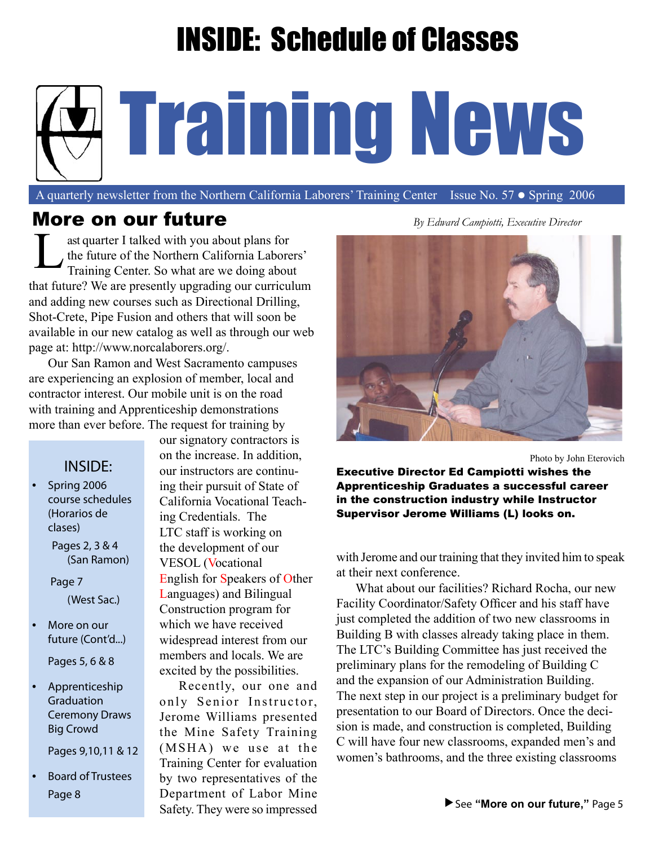# INSIDE: Schedule of Classes

# Training News

A quarterly newsletter from the Northern California Laborers' Training Center Issue No. 57 · Spring 2006

#### More on our future *By Edward Campiotti, Executive Director*

ast quarter I talked with you about plans for the future of the Northern California Laborers' Training Center. So what are we doing about that future? We are presently upgrading our curriculum and adding new courses such as Directional Drilling, Shot-Crete, Pipe Fusion and others that will soon be available in our new catalog as well as through our web page at: http://www.norcalaborers.org/. L

Our San Ramon and West Sacramento campuses are experiencing an explosion of member, local and contractor interest. Our mobile unit is on the road with training and Apprenticeship demonstrations more than ever before. The request for training by

#### INSIDE:

 • Spring 2006 course schedules (Horarios de clases)

 Pages 2, 3 & 4 (San Ramon)

 Page 7 (West Sac.)

- More on our future (Cont'd...) Pages 5, 6 & 8
	-
- Apprenticeship **Graduation** Ceremony Draws Big Crowd

Pages 9,10,11 & 12

• Board of Trustees

our signatory contractors is on the increase. In addition, our instructors are continuing their pursuit of State of California Vocational Teaching Credentials. The LTC staff is working on the development of our VESOL (Vocational English for Speakers of Other Languages) and Bilingual Construction program for which we have received widespread interest from our members and locals. We are excited by the possibilities.

Recently, our one and only Senior Instructor, Jerome Williams presented the Mine Safety Training (MSHA) we use at the Training Center for evaluation by two representatives of the Department of Labor Mine Safety. They were so impressed Page 8 **See See See See See See See See See "More on our future,"** Page 5



Photo by John Eterovich

Executive Director Ed Campiotti wishes the Apprenticeship Graduates a successful career in the construction industry while Instructor Supervisor Jerome Williams (L) looks on.

with Jerome and our training that they invited him to speak at their next conference.

What about our facilities? Richard Rocha, our new Facility Coordinator/Safety Officer and his staff have just completed the addition of two new classrooms in Building B with classes already taking place in them. The LTC's Building Committee has just received the preliminary plans for the remodeling of Building C and the expansion of our Administration Building. The next step in our project is a preliminary budget for presentation to our Board of Directors. Once the decision is made, and construction is completed, Building C will have four new classrooms, expanded men's and women's bathrooms, and the three existing classrooms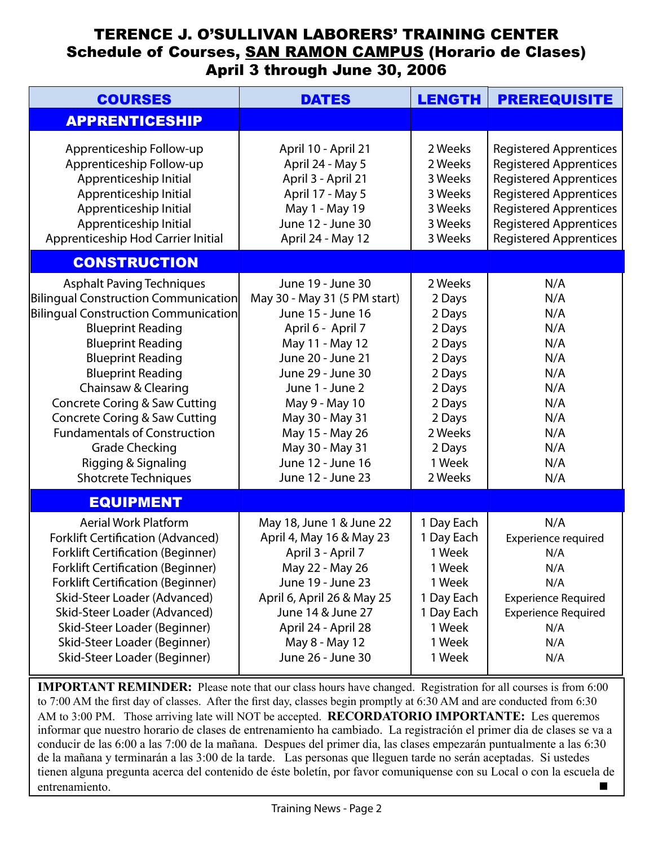#### TERENCE J. O'SULLIVAN LABORERS' TRAINING CENTER Schedule of Courses, SAN RAMON CAMPUS (Horario de Clases) April 3 through June 30, 2006

| <b>COURSES</b>                                                                                                                                                                                                                                                                                                                                                                                                                                                        | <b>DATES</b>                                                                                                                                                                                                                                                                                     | <b>LENGTH</b>                                                                                                                               | <b>PREREQUISITE</b>                                                                                                                                                                                                                 |
|-----------------------------------------------------------------------------------------------------------------------------------------------------------------------------------------------------------------------------------------------------------------------------------------------------------------------------------------------------------------------------------------------------------------------------------------------------------------------|--------------------------------------------------------------------------------------------------------------------------------------------------------------------------------------------------------------------------------------------------------------------------------------------------|---------------------------------------------------------------------------------------------------------------------------------------------|-------------------------------------------------------------------------------------------------------------------------------------------------------------------------------------------------------------------------------------|
| <b>APPRENTICESHIP</b>                                                                                                                                                                                                                                                                                                                                                                                                                                                 |                                                                                                                                                                                                                                                                                                  |                                                                                                                                             |                                                                                                                                                                                                                                     |
| Apprenticeship Follow-up<br>Apprenticeship Follow-up<br>Apprenticeship Initial<br>Apprenticeship Initial<br>Apprenticeship Initial<br>Apprenticeship Initial<br>Apprenticeship Hod Carrier Initial                                                                                                                                                                                                                                                                    | April 10 - April 21<br>April 24 - May 5<br>April 3 - April 21<br>April 17 - May 5<br>May 1 - May 19<br>June 12 - June 30<br>April 24 - May 12                                                                                                                                                    | 2 Weeks<br>2 Weeks<br>3 Weeks<br>3 Weeks<br>3 Weeks<br>3 Weeks<br>3 Weeks                                                                   | <b>Registered Apprentices</b><br><b>Registered Apprentices</b><br><b>Registered Apprentices</b><br><b>Registered Apprentices</b><br><b>Registered Apprentices</b><br><b>Registered Apprentices</b><br><b>Registered Apprentices</b> |
| <b>CONSTRUCTION</b>                                                                                                                                                                                                                                                                                                                                                                                                                                                   |                                                                                                                                                                                                                                                                                                  |                                                                                                                                             |                                                                                                                                                                                                                                     |
| <b>Asphalt Paving Techniques</b><br>Bilingual Construction Communication<br>Bilingual Construction Communication<br><b>Blueprint Reading</b><br><b>Blueprint Reading</b><br><b>Blueprint Reading</b><br><b>Blueprint Reading</b><br>Chainsaw & Clearing<br><b>Concrete Coring &amp; Saw Cutting</b><br><b>Concrete Coring &amp; Saw Cutting</b><br><b>Fundamentals of Construction</b><br><b>Grade Checking</b><br>Rigging & Signaling<br><b>Shotcrete Techniques</b> | June 19 - June 30<br>May 30 - May 31 (5 PM start)<br>June 15 - June 16<br>April 6 - April 7<br>May 11 - May 12<br>June 20 - June 21<br>June 29 - June 30<br>June 1 - June 2<br>May 9 - May 10<br>May 30 - May 31<br>May 15 - May 26<br>May 30 - May 31<br>June 12 - June 16<br>June 12 - June 23 | 2 Weeks<br>2 Days<br>2 Days<br>2 Days<br>2 Days<br>2 Days<br>2 Days<br>2 Days<br>2 Days<br>2 Days<br>2 Weeks<br>2 Days<br>1 Week<br>2 Weeks | N/A<br>N/A<br>N/A<br>N/A<br>N/A<br>N/A<br>N/A<br>N/A<br>N/A<br>N/A<br>N/A<br>N/A<br>N/A<br>N/A                                                                                                                                      |
| <b>EQUIPMENT</b>                                                                                                                                                                                                                                                                                                                                                                                                                                                      |                                                                                                                                                                                                                                                                                                  |                                                                                                                                             |                                                                                                                                                                                                                                     |
| <b>Aerial Work Platform</b><br><b>Forklift Certification (Advanced)</b><br><b>Forklift Certification (Beginner)</b><br>Forklift Certification (Beginner)<br><b>Forklift Certification (Beginner)</b><br>Skid-Steer Loader (Advanced)<br>Skid-Steer Loader (Advanced)<br>Skid-Steer Loader (Beginner)<br>Skid-Steer Loader (Beginner)<br>Skid-Steer Loader (Beginner)                                                                                                  | May 18, June 1 & June 22<br>April 4, May 16 & May 23<br>April 3 - April 7<br>May 22 - May 26<br>June 19 - June 23<br>April 6, April 26 & May 25<br>June 14 & June 27<br>April 24 - April 28<br>May 8 - May 12<br>June 26 - June 30                                                               | 1 Day Each<br>1 Day Each<br>1 Week<br>1 Week<br>1 Week<br>1 Day Each<br>1 Day Each<br>1 Week<br>1 Week<br>1 Week                            | N/A<br>Experience required<br>N/A<br>N/A<br>N/A<br><b>Experience Required</b><br><b>Experience Required</b><br>N/A<br>N/A<br>N/A                                                                                                    |

**IMPORTANT REMINDER:** Please note that our class hours have changed. Registration for all courses is from 6:00 to 7:00 AM the first day of classes. After the first day, classes begin promptly at 6:30 AM and are conducted from 6:30 AM to 3:00 PM. Those arriving late will NOT be accepted. **RECORDATORIO IMPORTANTE:** Les queremos informar que nuestro horario de clases de entrenamiento ha cambiado. La registración el primer dia de clases se va a conducir de las 6:00 a las 7:00 de la mañana. Despues del primer dia, las clases empezarán puntualmente a las 6:30 de la mañana y terminarán a las 3:00 de la tarde. Las personas que lleguen tarde no serán aceptadas. Si ustedes tienen alguna pregunta acerca del contenido de éste boletín, por favor comuniquense con su Local o con la escuela de entrenamiento.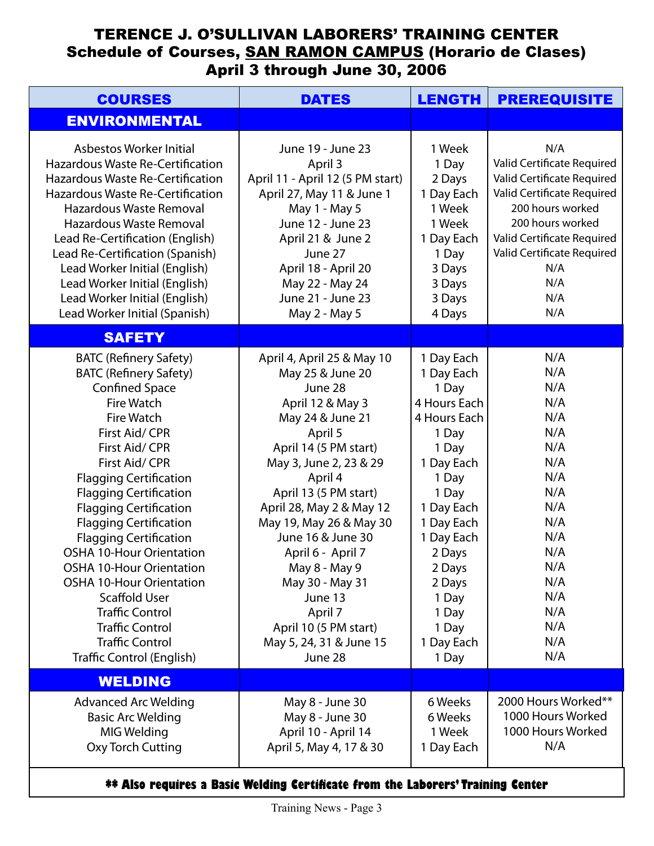#### TERENCE J. O'SULLIVAN LABORERS' TRAINING CENTER Schedule of Courses, SAN RAMON CAMPUS (Horario de Clases) April 3 through June 30, 2006

| <b>COURSES</b>                                                                                                                                                                                                                                                                                                                                                                                                                                                                                                                                                                                                  | <b>DATES</b>                                                                                                                                                                                                                                                                                                                                                                                                                  |                                                                                                                                                                                                                                               | <b>PREREQUISITE</b>                                                                                                                                                                                                           |
|-----------------------------------------------------------------------------------------------------------------------------------------------------------------------------------------------------------------------------------------------------------------------------------------------------------------------------------------------------------------------------------------------------------------------------------------------------------------------------------------------------------------------------------------------------------------------------------------------------------------|-------------------------------------------------------------------------------------------------------------------------------------------------------------------------------------------------------------------------------------------------------------------------------------------------------------------------------------------------------------------------------------------------------------------------------|-----------------------------------------------------------------------------------------------------------------------------------------------------------------------------------------------------------------------------------------------|-------------------------------------------------------------------------------------------------------------------------------------------------------------------------------------------------------------------------------|
| <b>ENVIRONMENTAL</b>                                                                                                                                                                                                                                                                                                                                                                                                                                                                                                                                                                                            |                                                                                                                                                                                                                                                                                                                                                                                                                               |                                                                                                                                                                                                                                               |                                                                                                                                                                                                                               |
| Asbestos Worker Initial<br><b>Hazardous Waste Re-Certification</b><br><b>Hazardous Waste Re-Certification</b><br><b>Hazardous Waste Re-Certification</b><br>Hazardous Waste Removal<br>Hazardous Waste Removal<br>Lead Re-Certification (English)<br>Lead Re-Certification (Spanish)<br>Lead Worker Initial (English)<br>Lead Worker Initial (English)<br>Lead Worker Initial (English)<br>Lead Worker Initial (Spanish)                                                                                                                                                                                        | June 19 - June 23<br>April 3<br>April 11 - April 12 (5 PM start)<br>April 27, May 11 & June 1<br>May 1 - May 5<br>June 12 - June 23<br>April 21 & June 2<br>June 27<br>April 18 - April 20<br>May 22 - May 24<br>June 21 - June 23<br>May 2 - May 5                                                                                                                                                                           | 1 Week<br>1 Day<br>2 Days<br>1 Day Each<br>1 Week<br>1 Week<br>1 Day Each<br>1 Day<br>3 Days<br>3 Days<br>3 Days<br>4 Days                                                                                                                    | N/A<br>Valid Certificate Required<br>Valid Certificate Required<br>Valid Certificate Required<br>200 hours worked<br>200 hours worked<br>Valid Certificate Required<br>Valid Certificate Required<br>N/A<br>N/A<br>N/A<br>N/A |
| <b>SAFETY</b>                                                                                                                                                                                                                                                                                                                                                                                                                                                                                                                                                                                                   |                                                                                                                                                                                                                                                                                                                                                                                                                               |                                                                                                                                                                                                                                               |                                                                                                                                                                                                                               |
| <b>BATC (Refinery Safety)</b><br><b>BATC (Refinery Safety)</b><br><b>Confined Space</b><br><b>Fire Watch</b><br><b>Fire Watch</b><br>First Aid/ CPR<br>First Aid/ CPR<br>First Aid/ CPR<br><b>Flagging Certification</b><br><b>Flagging Certification</b><br><b>Flagging Certification</b><br><b>Flagging Certification</b><br><b>Flagging Certification</b><br><b>OSHA 10-Hour Orientation</b><br><b>OSHA 10-Hour Orientation</b><br><b>OSHA 10-Hour Orientation</b><br><b>Scaffold User</b><br><b>Traffic Control</b><br><b>Traffic Control</b><br><b>Traffic Control</b><br><b>Traffic Control (English)</b> | April 4, April 25 & May 10<br>May 25 & June 20<br>June 28<br>April 12 & May 3<br>May 24 & June 21<br>April 5<br>April 14 (5 PM start)<br>May 3, June 2, 23 & 29<br>April 4<br>April 13 (5 PM start)<br>April 28, May 2 & May 12<br>May 19, May 26 & May 30<br>June 16 & June 30<br>April 6 - April 7<br>May 8 - May 9<br>May 30 - May 31<br>June 13<br>April 7<br>April 10 (5 PM start)<br>May 5, 24, 31 & June 15<br>June 28 | 1 Day Each<br>1 Day Each<br>1 Day<br>4 Hours Each<br>4 Hours Each<br>1 Day<br>1 Day<br>1 Day Each<br>1 Day<br>1 Day<br>1 Day Each<br>1 Day Each<br>1 Day Each<br>2 Days<br>2 Days<br>2 Days<br>1 Day<br>1 Day<br>1 Day<br>1 Day Each<br>1 Day | N/A<br>N/A<br>N/A<br>N/A<br>N/A<br>N/A<br>N/A<br>N/A<br>N/A<br>N/A<br>N/A<br>N/A<br>N/A<br>N/A<br>N/A<br>N/A<br>N/A<br>N/A<br>N/A<br>N/A<br>N/A                                                                               |
| <b>WELDING</b>                                                                                                                                                                                                                                                                                                                                                                                                                                                                                                                                                                                                  |                                                                                                                                                                                                                                                                                                                                                                                                                               |                                                                                                                                                                                                                                               |                                                                                                                                                                                                                               |
| <b>Advanced Arc Welding</b><br><b>Basic Arc Welding</b><br>MIG Welding<br>Oxy Torch Cutting                                                                                                                                                                                                                                                                                                                                                                                                                                                                                                                     | May 8 - June 30<br>May 8 - June 30<br>April 10 - April 14<br>April 5, May 4, 17 & 30                                                                                                                                                                                                                                                                                                                                          | 6 Weeks<br>6 Weeks<br>1 Week<br>1 Day Each                                                                                                                                                                                                    | 2000 Hours Worked**<br>1000 Hours Worked<br>1000 Hours Worked<br>N/A                                                                                                                                                          |
|                                                                                                                                                                                                                                                                                                                                                                                                                                                                                                                                                                                                                 | ** Also requires a Basic Welding Certificate from the Laborers' Training Center                                                                                                                                                                                                                                                                                                                                               |                                                                                                                                                                                                                                               |                                                                                                                                                                                                                               |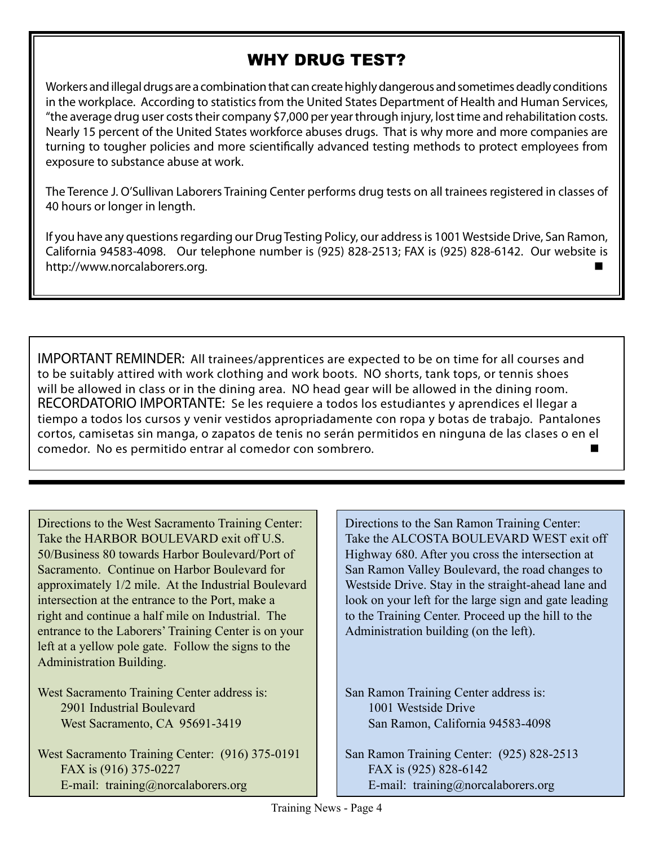#### WHY DRUG TEST?

Workers and illegal drugs are a combination that can create highly dangerous and sometimes deadly conditions in the workplace. According to statistics from the United States Department of Health and Human Services, "the average drug user costs their company \$7,000 per year through injury, lost time and rehabilitation costs. Nearly 15 percent of the United States workforce abuses drugs. That is why more and more companies are turning to tougher policies and more scientifically advanced testing methods to protect employees from exposure to substance abuse at work.

The Terence J. O'Sullivan Laborers Training Center performs drug tests on all trainees registered in classes of 40 hours or longer in length.

If you have any questions regarding our Drug Testing Policy, our address is 1001 Westside Drive, San Ramon, California 94583-4098. Our telephone number is (925) 828-2513; FAX is (925) 828-6142. Our website is http://www.norcalaborers.org.

IMPORTANT REMINDER: All trainees/apprentices are expected to be on time for all courses and to be suitably attired with work clothing and work boots. NO shorts, tank tops, or tennis shoes will be allowed in class or in the dining area. NO head gear will be allowed in the dining room. RECORDATORIO IMPORTANTE: Se les requiere a todos los estudiantes y aprendices el llegar a tiempo a todos los cursos y venir vestidos apropriadamente con ropa y botas de trabajo. Pantalones cortos, camisetas sin manga, o zapatos de tenis no serán permitidos en ninguna de las clases o en el comedor. No es permitido entrar al comedor con sombrero.

Directions to the West Sacramento Training Center: Take the HARBOR BOULEVARD exit off U.S. 50/Business 80 towards Harbor Boulevard/Port of Sacramento. Continue on Harbor Boulevard for approximately 1/2 mile. At the Industrial Boulevard intersection at the entrance to the Port, make a right and continue a half mile on Industrial. The entrance to the Laborers' Training Center is on your left at a yellow pole gate. Follow the signs to the Administration Building.

West Sacramento Training Center address is: 2901 Industrial Boulevard West Sacramento, CA 95691-3419

West Sacramento Training Center: (916) 375-0191 FAX is (916) 375-0227 E-mail: training@norcalaborers.org

Directions to the San Ramon Training Center: Take the ALCOSTA BOULEVARD WEST exit off Highway 680. After you cross the intersection at San Ramon Valley Boulevard, the road changes to Westside Drive. Stay in the straight-ahead lane and look on your left for the large sign and gate leading to the Training Center. Proceed up the hill to the Administration building (on the left).

San Ramon Training Center address is: 1001 Westside Drive San Ramon, California 94583-4098

San Ramon Training Center: (925) 828-2513 FAX is (925) 828-6142 E-mail: training@norcalaborers.org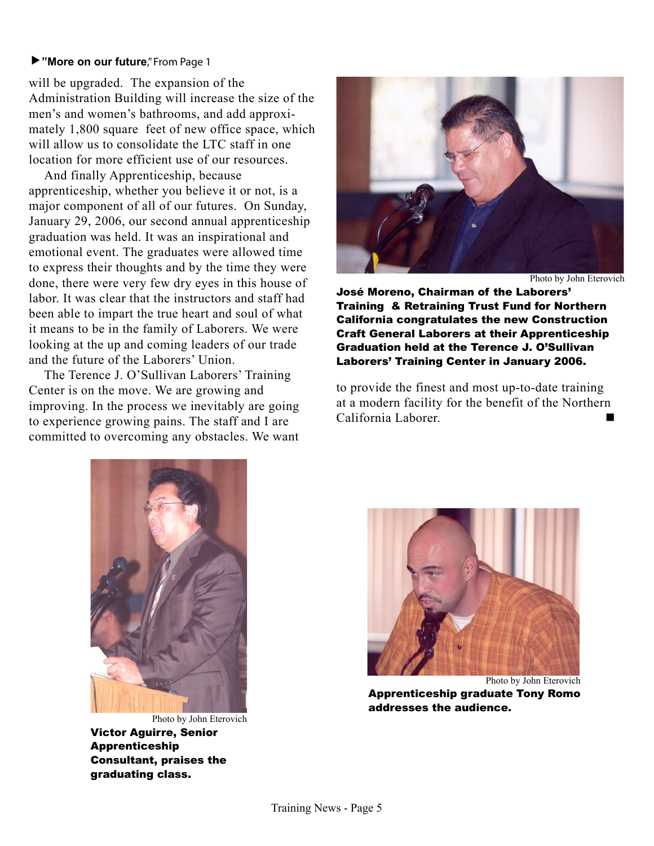#### **"More on our future**," From Page 1

will be upgraded. The expansion of the Administration Building will increase the size of the men's and women's bathrooms, and add approximately 1,800 square feet of new office space, which will allow us to consolidate the LTC staff in one location for more efficient use of our resources.

And finally Apprenticeship, because apprenticeship, whether you believe it or not, is a major component of all of our futures. On Sunday, January 29, 2006, our second annual apprenticeship graduation was held. It was an inspirational and emotional event. The graduates were allowed time to express their thoughts and by the time they were done, there were very few dry eyes in this house of labor. It was clear that the instructors and staff had been able to impart the true heart and soul of what it means to be in the family of Laborers. We were looking at the up and coming leaders of our trade and the future of the Laborers' Union.

The Terence J. O'Sullivan Laborers' Training Center is on the move. We are growing and improving. In the process we inevitably are going to experience growing pains. The staff and I are committed to overcoming any obstacles. We want



Photo by John Eterovich

José Moreno, Chairman of the Laborers' Training & Retraining Trust Fund for Northern California congratulates the new Construction Craft General Laborers at their Apprenticeship Graduation held at the Terence J. O'Sullivan Laborers' Training Center in January 2006.

to provide the finest and most up-to-date training at a modern facility for the benefit of the Northern California Laborer.



Photo by John Eterovich Victor Aguirre, Senior Apprenticeship Consultant, praises the graduating class.



Photo by John Eterovich Apprenticeship graduate Tony Romo addresses the audience.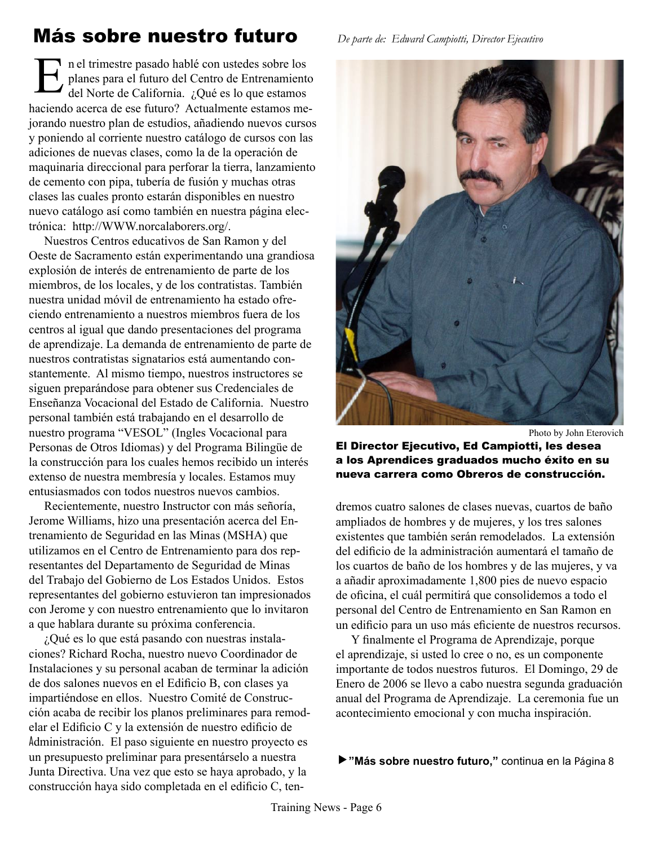# Más sobre nuestro futuro *De parte de: Edward Campiotti, Director Ejecutivo*

n el trimestre pasado hablé con ustedes sobre los planes para el futuro del Centro de Entrenamiento del Norte de California. ¿Qué es lo que estamos haciendo acerca de ese futuro? Actualmente estamos mejorando nuestro plan de estudios, añadiendo nuevos cursos y poniendo al corriente nuestro catálogo de cursos con las adiciones de nuevas clases, como la de la operación de maquinaria direccional para perforar la tierra, lanzamiento de cemento con pipa, tubería de fusión y muchas otras clases las cuales pronto estarán disponibles en nuestro nuevo catálogo así como también en nuestra página electrónica: http://WWW.norcalaborers.org/. E

Nuestros Centros educativos de San Ramon y del Oeste de Sacramento están experimentando una grandiosa explosión de interés de entrenamiento de parte de los miembros, de los locales, y de los contratistas. También nuestra unidad móvil de entrenamiento ha estado ofreciendo entrenamiento a nuestros miembros fuera de los centros al igual que dando presentaciones del programa de aprendizaje. La demanda de entrenamiento de parte de nuestros contratistas signatarios está aumentando constantemente. Al mismo tiempo, nuestros instructores se siguen preparándose para obtener sus Credenciales de Enseñanza Vocacional del Estado de California. Nuestro personal también está trabajando en el desarrollo de nuestro programa "VESOL" (Ingles Vocacional para Personas de Otros Idiomas) y del Programa Bilingüe de la construcción para los cuales hemos recibido un interés extenso de nuestra membresía y locales. Estamos muy entusiasmados con todos nuestros nuevos cambios.

Recientemente, nuestro Instructor con más señoría, Jerome Williams, hizo una presentación acerca del Entrenamiento de Seguridad en las Minas (MSHA) que utilizamos en el Centro de Entrenamiento para dos representantes del Departamento de Seguridad de Minas del Trabajo del Gobierno de Los Estados Unidos. Estos representantes del gobierno estuvieron tan impresionados con Jerome y con nuestro entrenamiento que lo invitaron a que hablara durante su próxima conferencia.

¿Qué es lo que está pasando con nuestras instalaciones? Richard Rocha, nuestro nuevo Coordinador de Instalaciones y su personal acaban de terminar la adición de dos salones nuevos en el Edificio B, con clases ya impartiéndose en ellos. Nuestro Comité de Construcción acaba de recibir los planos preliminares para remodelar el Edificio C y la extensión de nuestro edificio de Administración. El paso siguiente en nuestro proyecto es un presupuesto preliminar para presentárselo a nuestra Junta Directiva. Una vez que esto se haya aprobado, y la construcción haya sido completada en el edificio C, ten-



Photo by John Eterovich

#### El Director Ejecutivo, Ed Campiotti, les desea a los Aprendices graduados mucho éxito en su nueva carrera como Obreros de construcción.

dremos cuatro salones de clases nuevas, cuartos de baño ampliados de hombres y de mujeres, y los tres salones existentes que también serán remodelados. La extensión del edificio de la administración aumentará el tamaño de los cuartos de baño de los hombres y de las mujeres, y va a añadir aproximadamente 1,800 pies de nuevo espacio de oficina, el cuál permitirá que consolidemos a todo el personal del Centro de Entrenamiento en San Ramon en un edificio para un uso más eficiente de nuestros recursos.

Y finalmente el Programa de Aprendizaje, porque el aprendizaje, si usted lo cree o no, es un componente importante de todos nuestros futuros. El Domingo, 29 de Enero de 2006 se llevo a cabo nuestra segunda graduación anual del Programa de Aprendizaje. La ceremonia fue un acontecimiento emocional y con mucha inspiración.

**"Más sobre nuestro futuro,"** continua en la Página 8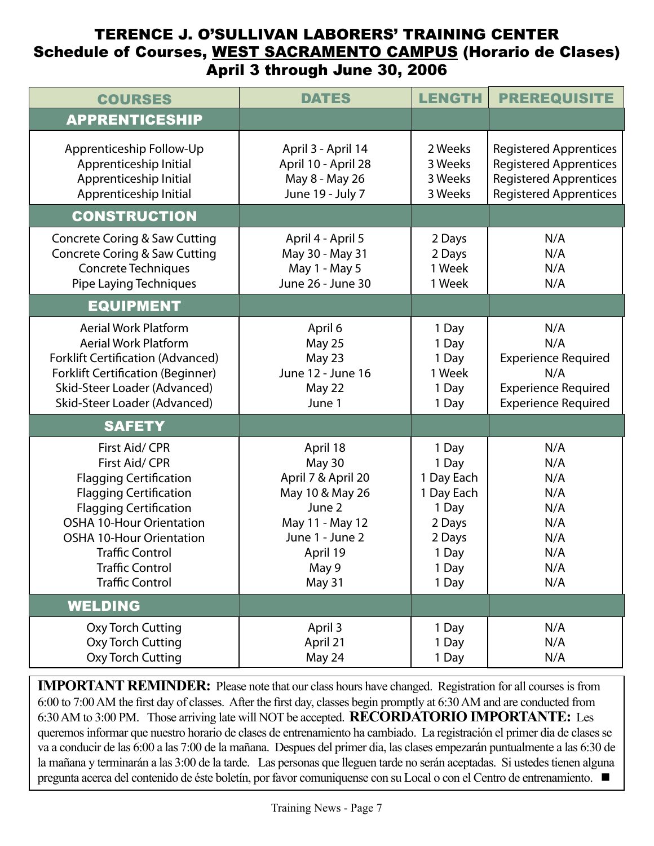#### TERENCE J. O'SULLIVAN LABORERS' TRAINING CENTER Schedule of Courses, WEST SACRAMENTO CAMPUS (Horario de Clases) April 3 through June 30, 2006

| <b>COURSES</b>                                                                                                                                                                                                                                                                          | <b>DATES</b>                                                                                                                               | <b>LENGTH</b>                                                                                      | <b>PREREQUISITE</b>                                                                                                              |
|-----------------------------------------------------------------------------------------------------------------------------------------------------------------------------------------------------------------------------------------------------------------------------------------|--------------------------------------------------------------------------------------------------------------------------------------------|----------------------------------------------------------------------------------------------------|----------------------------------------------------------------------------------------------------------------------------------|
| <b>APPRENTICESHIP</b>                                                                                                                                                                                                                                                                   |                                                                                                                                            |                                                                                                    |                                                                                                                                  |
| Apprenticeship Follow-Up<br>Apprenticeship Initial<br>Apprenticeship Initial<br>Apprenticeship Initial                                                                                                                                                                                  | April 3 - April 14<br>April 10 - April 28<br>May 8 - May 26<br>June 19 - July 7                                                            | 2 Weeks<br>3 Weeks<br>3 Weeks<br>3 Weeks                                                           | <b>Registered Apprentices</b><br><b>Registered Apprentices</b><br><b>Registered Apprentices</b><br><b>Registered Apprentices</b> |
| <b>CONSTRUCTION</b>                                                                                                                                                                                                                                                                     |                                                                                                                                            |                                                                                                    |                                                                                                                                  |
| <b>Concrete Coring &amp; Saw Cutting</b><br><b>Concrete Coring &amp; Saw Cutting</b><br><b>Concrete Techniques</b><br><b>Pipe Laying Techniques</b>                                                                                                                                     | April 4 - April 5<br>May 30 - May 31<br>May 1 - May 5<br>June 26 - June 30                                                                 | 2 Days<br>2 Days<br>1 Week<br>1 Week                                                               | N/A<br>N/A<br>N/A<br>N/A                                                                                                         |
| <b>EQUIPMENT</b>                                                                                                                                                                                                                                                                        |                                                                                                                                            |                                                                                                    |                                                                                                                                  |
| <b>Aerial Work Platform</b><br><b>Aerial Work Platform</b><br><b>Forklift Certification (Advanced)</b><br><b>Forklift Certification (Beginner)</b><br>Skid-Steer Loader (Advanced)<br>Skid-Steer Loader (Advanced)                                                                      | April 6<br><b>May 25</b><br>May 23<br>June 12 - June 16<br>May 22<br>June 1                                                                | 1 Day<br>1 Day<br>1 Day<br>1 Week<br>1 Day<br>1 Day                                                | N/A<br>N/A<br><b>Experience Required</b><br>N/A<br><b>Experience Required</b><br><b>Experience Required</b>                      |
| <b>SAFETY</b>                                                                                                                                                                                                                                                                           |                                                                                                                                            |                                                                                                    |                                                                                                                                  |
| First Aid/ CPR<br>First Aid/ CPR<br><b>Flagging Certification</b><br><b>Flagging Certification</b><br><b>Flagging Certification</b><br><b>OSHA 10-Hour Orientation</b><br><b>OSHA 10-Hour Orientation</b><br><b>Traffic Control</b><br><b>Traffic Control</b><br><b>Traffic Control</b> | April 18<br>May 30<br>April 7 & April 20<br>May 10 & May 26<br>June 2<br>May 11 - May 12<br>June 1 - June 2<br>April 19<br>May 9<br>May 31 | 1 Day<br>1 Day<br>1 Day Each<br>1 Day Each<br>1 Day<br>2 Days<br>2 Days<br>1 Day<br>1 Day<br>1 Day | N/A<br>N/A<br>N/A<br>N/A<br>N/A<br>N/A<br>N/A<br>N/A<br>N/A<br>N/A                                                               |
| <b>WELDING</b>                                                                                                                                                                                                                                                                          |                                                                                                                                            |                                                                                                    |                                                                                                                                  |
| Oxy Torch Cutting<br>Oxy Torch Cutting<br>Oxy Torch Cutting                                                                                                                                                                                                                             | April 3<br>April 21<br>May 24                                                                                                              | 1 Day<br>1 Day<br>1 Day                                                                            | N/A<br>N/A<br>N/A                                                                                                                |

**IMPORTANT REMINDER:** Please note that our class hours have changed. Registration for all courses is from 6:00 to 7:00 AM the first day of classes. After the first day, classes begin promptly at 6:30 AM and are conducted from 6:30 AM to 3:00 PM. Those arriving late will NOT be accepted. **RECORDATORIO IMPORTANTE:** Les queremos informar que nuestro horario de clases de entrenamiento ha cambiado. La registración el primer dia de clases se va a conducir de las 6:00 a las 7:00 de la mañana. Despues del primer dia, las clases empezarán puntualmente a las 6:30 de la mañana y terminarán a las 3:00 de la tarde. Las personas que lleguen tarde no serán aceptadas. Si ustedes tienen alguna pregunta acerca del contenido de éste boletín, por favor comuniquense con su Local o con el Centro de entrenamiento.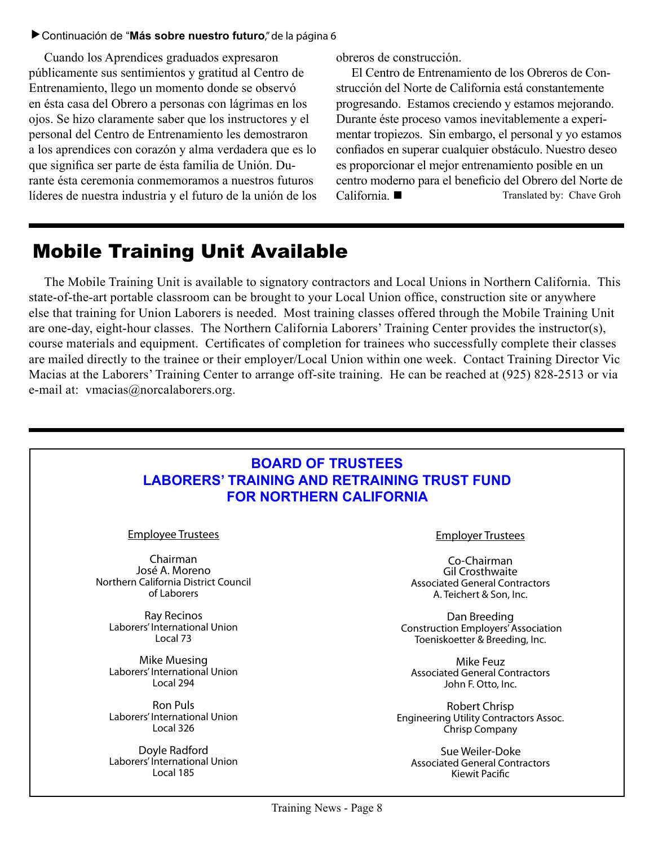#### Continuación de "**Más sobre nuestro futuro**," de la página 6

Cuando los Aprendices graduados expresaron públicamente sus sentimientos y gratitud al Centro de Entrenamiento, llego un momento donde se observó en ésta casa del Obrero a personas con lágrimas en los ojos. Se hizo claramente saber que los instructores y el personal del Centro de Entrenamiento les demostraron a los aprendices con corazón y alma verdadera que es lo que significa ser parte de ésta familia de Unión. Durante ésta ceremonia conmemoramos a nuestros futuros líderes de nuestra industria y el futuro de la unión de los obreros de construcción.

El Centro de Entrenamiento de los Obreros de Construcción del Norte de California está constantemente progresando. Estamos creciendo y estamos mejorando. Durante éste proceso vamos inevitablemente a experimentar tropiezos. Sin embargo, el personal y yo estamos confiados en superar cualquier obstáculo. Nuestro deseo es proporcionar el mejor entrenamiento posible en un centro moderno para el beneficio del Obrero del Norte de California. ■ Translated by: Chave Groh

### Mobile Training Unit Available

The Mobile Training Unit is available to signatory contractors and Local Unions in Northern California. This state-of-the-art portable classroom can be brought to your Local Union office, construction site or anywhere else that training for Union Laborers is needed. Most training classes offered through the Mobile Training Unit are one-day, eight-hour classes. The Northern California Laborers' Training Center provides the instructor(s), course materials and equipment. Certificates of completion for trainees who successfully complete their classes are mailed directly to the trainee or their employer/Local Union within one week. Contact Training Director Vic Macias at the Laborers' Training Center to arrange off-site training. He can be reached at (925) 828-2513 or via e-mail at: vmacias@norcalaborers.org.

| <b>BOARD OF TRUSTEES</b><br><b>LABORERS' TRAINING AND RETRAINING TRUST FUND</b><br><b>FOR NORTHERN CALIFORNIA</b> |                                               |  |  |
|-------------------------------------------------------------------------------------------------------------------|-----------------------------------------------|--|--|
| <b>Employee Trustees</b>                                                                                          | <b>Employer Trustees</b>                      |  |  |
| Chairman                                                                                                          | Co-Chairman                                   |  |  |
| José A. Moreno                                                                                                    | <b>Gil Crosthwaite</b>                        |  |  |
| Northern California District Council                                                                              | <b>Associated General Contractors</b>         |  |  |
| of Laborers                                                                                                       | A. Teichert & Son, Inc.                       |  |  |
| Ray Recinos                                                                                                       | Dan Breeding                                  |  |  |
| Laborers' International Union                                                                                     | <b>Construction Employers' Association</b>    |  |  |
| Local 73                                                                                                          | Toeniskoetter & Breeding, Inc.                |  |  |
| Mike Muesing                                                                                                      | <b>Mike Feuz</b>                              |  |  |
| Laborers' International Union                                                                                     | <b>Associated General Contractors</b>         |  |  |
| Local 294                                                                                                         | John F. Otto, Inc.                            |  |  |
| <b>Ron Puls</b>                                                                                                   | <b>Robert Chrisp</b>                          |  |  |
| Laborers' International Union                                                                                     | <b>Engineering Utility Contractors Assoc.</b> |  |  |
| Local 326                                                                                                         | Chrisp Company                                |  |  |
| Doyle Radford                                                                                                     | Sue Weiler-Doke                               |  |  |
| Laborers' International Union                                                                                     | <b>Associated General Contractors</b>         |  |  |
| Local 185                                                                                                         | Kiewit Pacific                                |  |  |
| Training News - Page 8                                                                                            |                                               |  |  |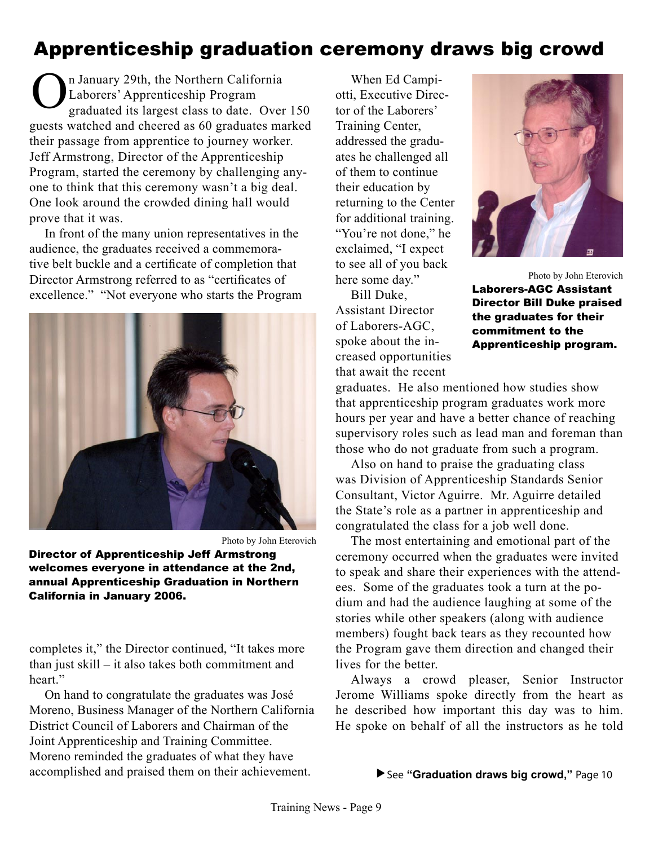# Apprenticeship graduation ceremony draws big crowd

 n January 29th, the Northern California Laborers' Apprenticeship Program graduated its largest class to date. Over 150 guests watched and cheered as 60 graduates marked their passage from apprentice to journey worker. Jeff Armstrong, Director of the Apprenticeship Program, started the ceremony by challenging anyone to think that this ceremony wasn't a big deal. One look around the crowded dining hall would prove that it was. O

In front of the many union representatives in the audience, the graduates received a commemorative belt buckle and a certificate of completion that Director Armstrong referred to as "certificates of excellence." "Not everyone who starts the Program



Photo by John Eterovich

Director of Apprenticeship Jeff Armstrong welcomes everyone in attendance at the 2nd, annual Apprenticeship Graduation in Northern California in January 2006.

completes it," the Director continued, "It takes more than just skill – it also takes both commitment and heart"

On hand to congratulate the graduates was José Moreno, Business Manager of the Northern California District Council of Laborers and Chairman of the Joint Apprenticeship and Training Committee. Moreno reminded the graduates of what they have accomplished and praised them on their achievement.

When Ed Campiotti, Executive Director of the Laborers' Training Center, addressed the graduates he challenged all of them to continue their education by returning to the Center for additional training. "You're not done," he exclaimed, "I expect to see all of you back here some day."

Bill Duke, Assistant Director of Laborers-AGC, spoke about the increased opportunities that await the recent



Photo by John Eterovich Laborers-AGC Assistant Director Bill Duke praised the graduates for their commitment to the Apprenticeship program.

graduates. He also mentioned how studies show that apprenticeship program graduates work more hours per year and have a better chance of reaching supervisory roles such as lead man and foreman than those who do not graduate from such a program.

Also on hand to praise the graduating class was Division of Apprenticeship Standards Senior Consultant, Victor Aguirre. Mr. Aguirre detailed the State's role as a partner in apprenticeship and congratulated the class for a job well done.

The most entertaining and emotional part of the ceremony occurred when the graduates were invited to speak and share their experiences with the attendees. Some of the graduates took a turn at the podium and had the audience laughing at some of the stories while other speakers (along with audience members) fought back tears as they recounted how the Program gave them direction and changed their lives for the better.

Always a crowd pleaser, Senior Instructor Jerome Williams spoke directly from the heart as he described how important this day was to him. He spoke on behalf of all the instructors as he told

#### See **"Graduation draws big crowd,"** Page 10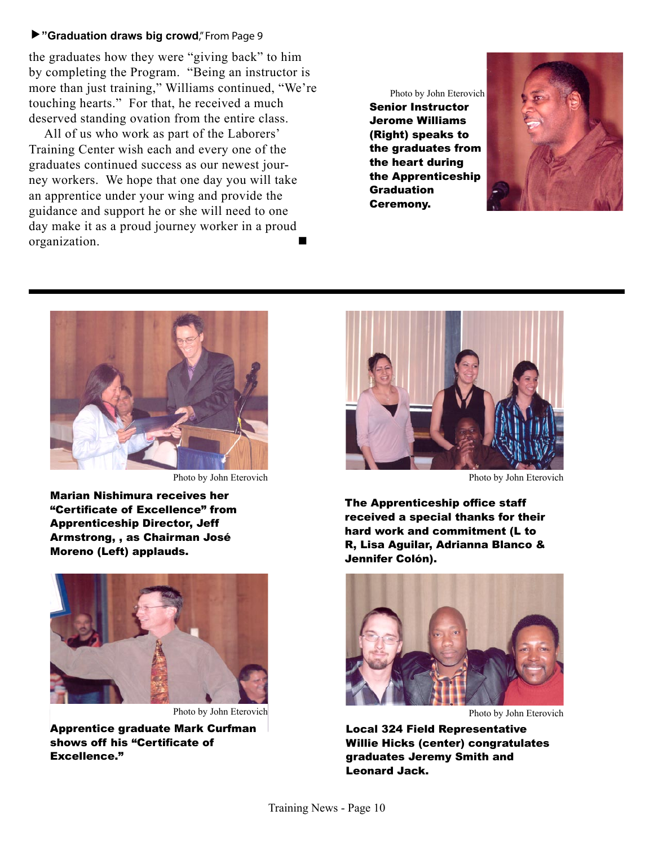#### **"Graduation draws big crowd**," From Page 9

the graduates how they were "giving back" to him by completing the Program. "Being an instructor is more than just training," Williams continued, "We're touching hearts." For that, he received a much deserved standing ovation from the entire class.

All of us who work as part of the Laborers' Training Center wish each and every one of the graduates continued success as our newest journey workers. We hope that one day you will take an apprentice under your wing and provide the guidance and support he or she will need to one day make it as a proud journey worker in a proud organization.

Photo by John Eterovich Senior Instructor Jerome Williams (Right) speaks to the graduates from the heart during the Apprenticeship **Graduation** Ceremony.





Photo by John Eterovich **Photo by John Eterovich** Photo by John Eterovich

Marian Nishimura receives her "Certificate of Excellence" from Apprenticeship Director, Jeff Armstrong, , as Chairman José Moreno (Left) applauds.



Photo by John Eterovich

Apprentice graduate Mark Curfman shows off his "Certificate of Excellence."



The Apprenticeship office staff received a special thanks for their hard work and commitment (L to R, Lisa Aguilar, Adrianna Blanco & Jennifer Colón).



Local 324 Field Representative Willie Hicks (center) congratulates graduates Jeremy Smith and Leonard Jack.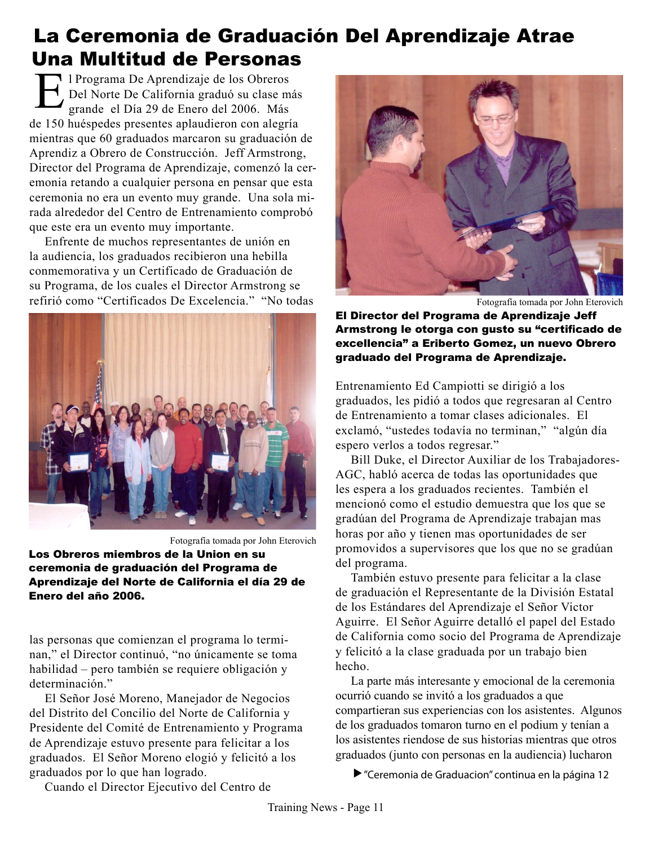# La Ceremonia de Graduación Del Aprendizaje Atrae Una Multitud de Personas

 l Programa De Aprendizaje de los Obreros Del Norte De California graduó su clase más grande el Día 29 de Enero del 2006. Más de 150 huéspedes presentes aplaudieron con alegría mientras que 60 graduados marcaron su graduación de Aprendiz a Obrero de Construcción. Jeff Armstrong, Director del Programa de Aprendizaje, comenzó la ceremonia retando a cualquier persona en pensar que esta ceremonia no era un evento muy grande. Una sola mirada alrededor del Centro de Entrenamiento comprobó que este era un evento muy importante. E

Enfrente de muchos representantes de unión en la audiencia, los graduados recibieron una hebilla conmemorativa y un Certificado de Graduación de su Programa, de los cuales el Director Armstrong se refirió como "Certificados De Excelencia." "No todas



Fotografía tomada por John Eterovich Los Obreros miembros de la Union en su ceremonia de graduación del Programa de Aprendizaje del Norte de California el día 29 de Enero del año 2006.

las personas que comienzan el programa lo terminan," el Director continuó, "no únicamente se toma habilidad – pero también se requiere obligación y determinación."

El Señor José Moreno, Manejador de Negocios del Distrito del Concilio del Norte de California y Presidente del Comité de Entrenamiento y Programa de Aprendizaje estuvo presente para felicitar a los graduados. El Señor Moreno elogió y felicitó a los graduados por lo que han logrado.



Fotografía tomada por John Eterovich

El Director del Programa de Aprendizaje Jeff Armstrong le otorga con gusto su "certificado de excellencia" a Eriberto Gomez, un nuevo Obrero graduado del Programa de Aprendizaje.

Entrenamiento Ed Campiotti se dirigió a los graduados, les pidió a todos que regresaran al Centro de Entrenamiento a tomar clases adicionales. El exclamó, "ustedes todavía no terminan," "algún día espero verlos a todos regresar."

Bill Duke, el Director Auxiliar de los Trabajadores-AGC, habló acerca de todas las oportunidades que les espera a los graduados recientes. También el mencionó como el estudio demuestra que los que se gradúan del Programa de Aprendizaje trabajan mas horas por año y tienen mas oportunidades de ser promovidos a supervisores que los que no se gradúan del programa.

También estuvo presente para felicitar a la clase de graduación el Representante de la División Estatal de los Estándares del Aprendizaje el Señor Victor Aguirre. El Señor Aguirre detalló el papel del Estado de California como socio del Programa de Aprendizaje y felicitó a la clase graduada por un trabajo bien hecho.

La parte más interesante y emocional de la ceremonia ocurrió cuando se invitó a los graduados a que compartieran sus experiencias con los asistentes. Algunos de los graduados tomaron turno en el podium y tenían a los asistentes riendose de sus historias mientras que otros graduados (junto con personas en la audiencia) lucharon

"Ceremonia de Graduacion" continua en la página 12

Cuando el Director Ejecutivo del Centro de